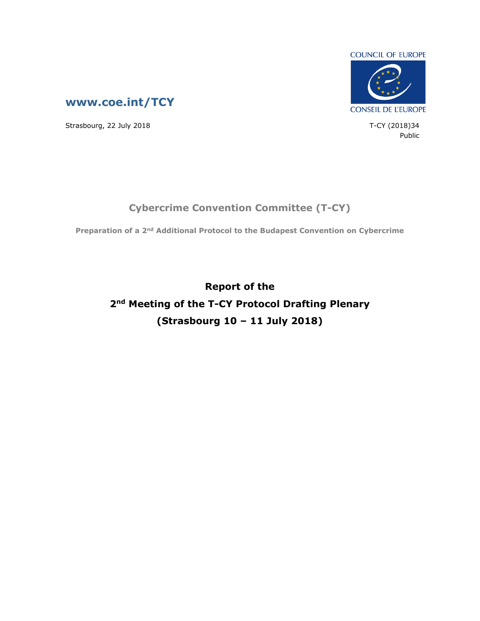



Strasbourg, 22 July 2018 T-CY (2018)34

Public

## **Cybercrime Convention Committee (T-CY)**

**Preparation of a 2nd Additional Protocol to the Budapest Convention on Cybercrime**

**Report of the 2nd Meeting of the T-CY Protocol Drafting Plenary (Strasbourg 10 – 11 July 2018)**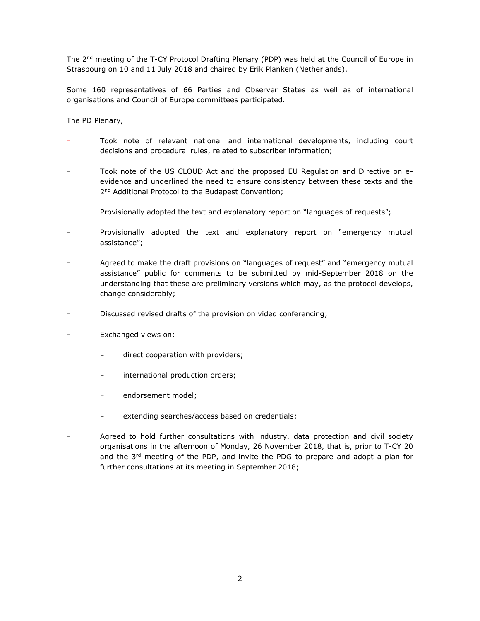The 2<sup>nd</sup> meeting of the T-CY Protocol Drafting Plenary (PDP) was held at the Council of Europe in Strasbourg on 10 and 11 July 2018 and chaired by Erik Planken (Netherlands).

Some 160 representatives of 66 Parties and Observer States as well as of international organisations and Council of Europe committees participated.

The PD Plenary,

- Took note of relevant national and international developments, including court decisions and procedural rules, related to subscriber information;
- Took note of the US CLOUD Act and the proposed EU Regulation and Directive on eevidence and underlined the need to ensure consistency between these texts and the 2<sup>nd</sup> Additional Protocol to the Budapest Convention;
- Provisionally adopted the text and explanatory report on "languages of requests";
- Provisionally adopted the text and explanatory report on "emergency mutual assistance";
- Agreed to make the draft provisions on "languages of request" and "emergency mutual assistance" public for comments to be submitted by mid-September 2018 on the understanding that these are preliminary versions which may, as the protocol develops, change considerably;
- Discussed revised drafts of the provision on video conferencing;
- Exchanged views on:
	- direct cooperation with providers;
	- international production orders;
	- endorsement model;
	- extending searches/access based on credentials;
- Agreed to hold further consultations with industry, data protection and civil society organisations in the afternoon of Monday, 26 November 2018, that is, prior to T-CY 20 and the  $3<sup>rd</sup>$  meeting of the PDP, and invite the PDG to prepare and adopt a plan for further consultations at its meeting in September 2018;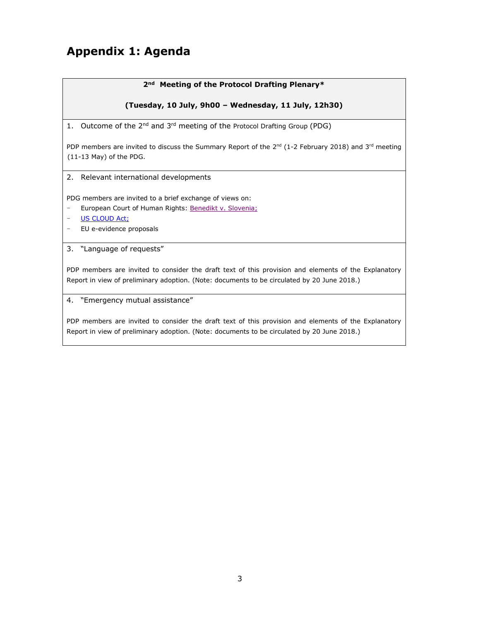# **Appendix 1: Agenda**

#### **2nd Meeting of the Protocol Drafting Plenary\***

#### **(Tuesday, 10 July, 9h00 – Wednesday, 11 July, 12h30)**

1. Outcome of the 2<sup>nd</sup> and 3<sup>rd</sup> meeting of the Protocol Drafting Group (PDG)

PDP members are invited to discuss the Summary Report of the  $2^{nd}$  (1-2 February 2018) and 3<sup>rd</sup> meeting (11-13 May) of the PDG.

2. Relevant international developments

PDG members are invited to a brief exchange of views on:

- European Court of Human Rights: [Benedikt v.](http://hudoc.echr.coe.int/eng?i=001-182455) [Slovenia;](http://hudoc.echr.coe.int/eng?i=001-182455)
- [US CLOUD Act;](https://www.congress.gov/115/bills/hr4943/BILLS-115hr4943ih.pdf)
- EU e-evidence proposal[s](https://eur-lex.europa.eu/legal-content/EN/TXT/PDF/?uri=CELEX:52018SC0119&from=EN)
- 3. "Language of requests"

PDP members are invited to consider the draft text of this provision and elements of the Explanatory Report in view of preliminary adoption. (Note: documents to be circulated by 20 June 2018.)

4. "Emergency mutual assistance"

PDP members are invited to consider the draft text of this provision and elements of the Explanatory Report in view of preliminary adoption. (Note: documents to be circulated by 20 June 2018.)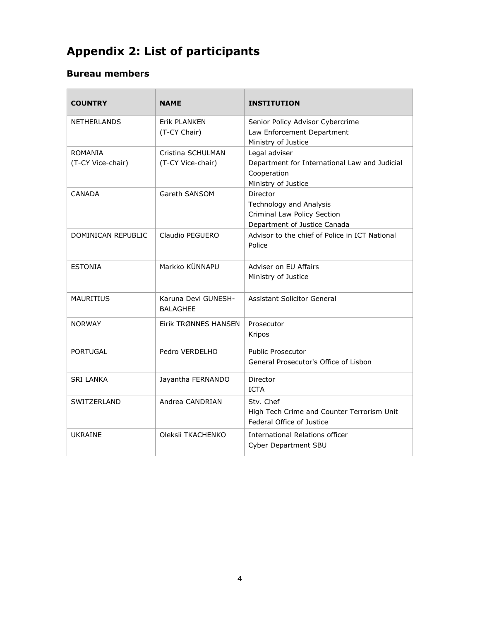# **Appendix 2: List of participants**

## **Bureau members**

| <b>COUNTRY</b>                      | <b>NAME</b>                            | <b>INSTITUTION</b>                                                                                   |
|-------------------------------------|----------------------------------------|------------------------------------------------------------------------------------------------------|
| <b>NETHERLANDS</b>                  | Erik PLANKEN<br>(T-CY Chair)           | Senior Policy Advisor Cybercrime<br>Law Enforcement Department<br>Ministry of Justice                |
| <b>ROMANIA</b><br>(T-CY Vice-chair) | Cristina SCHULMAN<br>(T-CY Vice-chair) | Legal adviser<br>Department for International Law and Judicial<br>Cooperation<br>Ministry of Justice |
| <b>CANADA</b>                       | Gareth SANSOM                          | Director<br>Technology and Analysis<br>Criminal Law Policy Section<br>Department of Justice Canada   |
| DOMINICAN REPUBLIC                  | Claudio PEGUERO                        | Advisor to the chief of Police in ICT National<br>Police                                             |
| <b>ESTONIA</b>                      | Markko KÜNNAPU                         | Adviser on EU Affairs<br>Ministry of Justice                                                         |
| <b>MAURITIUS</b>                    | Karuna Devi GUNESH-<br><b>BALAGHEE</b> | Assistant Solicitor General                                                                          |
| <b>NORWAY</b>                       | Eirik TRØNNES HANSEN                   | Prosecutor<br>Kripos                                                                                 |
| <b>PORTUGAL</b>                     | Pedro VERDELHO                         | <b>Public Prosecutor</b><br>General Prosecutor's Office of Lisbon                                    |
| <b>SRI LANKA</b>                    | Jayantha FERNANDO                      | Director<br><b>ICTA</b>                                                                              |
| SWITZERLAND                         | Andrea CANDRIAN                        | Stv. Chef<br>High Tech Crime and Counter Terrorism Unit<br>Federal Office of Justice                 |
| <b>UKRAINE</b>                      | Oleksii TKACHENKO                      | International Relations officer<br><b>Cyber Department SBU</b>                                       |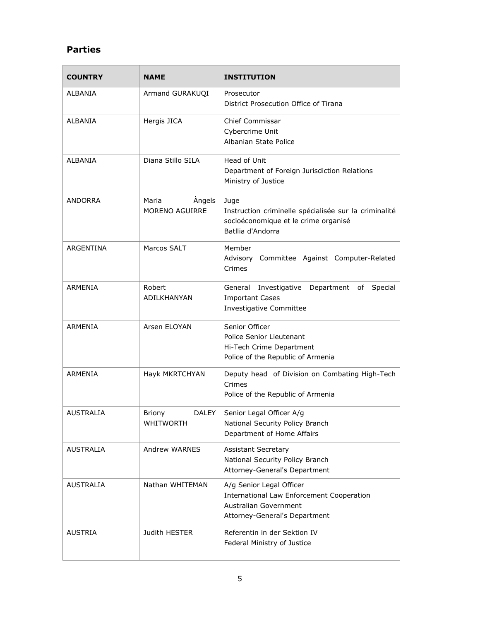## **Parties**

| <b>COUNTRY</b>   | <b>NAME</b>                                       | <b>INSTITUTION</b>                                                                                                                     |
|------------------|---------------------------------------------------|----------------------------------------------------------------------------------------------------------------------------------------|
| ALBANIA          | Armand GURAKUQI                                   | Prosecutor<br>District Prosecution Office of Tirana                                                                                    |
| <b>ALBANIA</b>   | Hergis JICA                                       | <b>Chief Commissar</b><br>Cybercrime Unit<br>Albanian State Police                                                                     |
| ALBANIA          | Diana Stillo SILA                                 | Head of Unit<br>Department of Foreign Jurisdiction Relations<br>Ministry of Justice                                                    |
| ANDORRA          | Maria<br>Angels<br><b>MORENO AGUIRRE</b>          | Juge<br>Instruction criminelle spécialisée sur la criminalité<br>socioéconomique et le crime organisé<br>Batllia d'Andorra             |
| <b>ARGENTINA</b> | Marcos SALT                                       | Member<br>Advisory Committee Against Computer-Related<br>Crimes                                                                        |
| ARMENIA          | Robert<br>ADILKHANYAN                             | General Investigative Department of Special<br><b>Important Cases</b><br>Investigative Committee                                       |
| ARMENIA          | Arsen ELOYAN                                      | Senior Officer<br>Police Senior Lieutenant<br>Hi-Tech Crime Department<br>Police of the Republic of Armenia                            |
| ARMENIA          | Hayk MKRTCHYAN                                    | Deputy head of Division on Combating High-Tech<br>Crimes<br>Police of the Republic of Armenia                                          |
| <b>AUSTRALIA</b> | <b>DALEY</b><br><b>Briony</b><br><b>WHITWORTH</b> | Senior Legal Officer A/g<br>National Security Policy Branch<br>Department of Home Affairs                                              |
| <b>AUSTRALIA</b> | Andrew WARNES                                     | <b>Assistant Secretary</b><br>National Security Policy Branch<br>Attorney-General's Department                                         |
| AUSTRALIA        | Nathan WHITEMAN                                   | A/g Senior Legal Officer<br><b>International Law Enforcement Cooperation</b><br>Australian Government<br>Attorney-General's Department |
| AUSTRIA          | Judith HESTER                                     | Referentin in der Sektion IV<br>Federal Ministry of Justice                                                                            |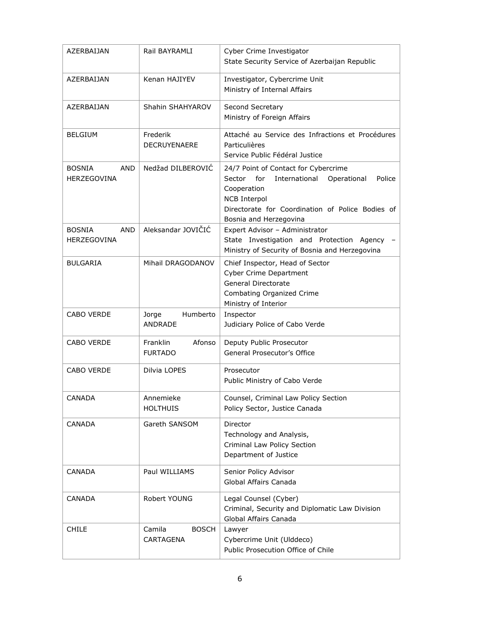| AZERBAIJAN                                 | Rail BAYRAMLI                        | Cyber Crime Investigator<br>State Security Service of Azerbaijan Republic                                                                                                                                           |
|--------------------------------------------|--------------------------------------|---------------------------------------------------------------------------------------------------------------------------------------------------------------------------------------------------------------------|
| AZERBAIJAN                                 | Kenan HAJIYEV                        | Investigator, Cybercrime Unit<br>Ministry of Internal Affairs                                                                                                                                                       |
| AZERBAIJAN                                 | Shahin SHAHYAROV                     | Second Secretary<br>Ministry of Foreign Affairs                                                                                                                                                                     |
| <b>BELGIUM</b>                             | Frederik<br><b>DECRUYENAERE</b>      | Attaché au Service des Infractions et Procédures<br>Particulières<br>Service Public Fédéral Justice                                                                                                                 |
| <b>BOSNIA</b><br>AND<br><b>HERZEGOVINA</b> | Nedžad DILBEROVIĆ                    | 24/7 Point of Contact for Cybercrime<br>for<br>International<br>Police<br>Sector<br>Operational<br>Cooperation<br><b>NCB Interpol</b><br>Directorate for Coordination of Police Bodies of<br>Bosnia and Herzegovina |
| <b>BOSNIA</b><br><b>AND</b><br>HERZEGOVINA | Aleksandar JOVIČIĆ                   | Expert Advisor - Administrator<br>State Investigation and Protection Agency<br>Ministry of Security of Bosnia and Herzegovina                                                                                       |
| <b>BULGARIA</b>                            | Mihail DRAGODANOV                    | Chief Inspector, Head of Sector<br><b>Cyber Crime Department</b><br>General Directorate<br>Combating Organized Crime<br>Ministry of Interior                                                                        |
| <b>CABO VERDE</b>                          | Humberto<br>Jorge<br>ANDRADE         | Inspector<br>Judiciary Police of Cabo Verde                                                                                                                                                                         |
| <b>CABO VERDE</b>                          | Franklin<br>Afonso<br><b>FURTADO</b> | Deputy Public Prosecutor<br>General Prosecutor's Office                                                                                                                                                             |
| <b>CABO VERDE</b>                          | Dilvia LOPES                         | Prosecutor<br>Public Ministry of Cabo Verde                                                                                                                                                                         |
| CANADA                                     | Annemieke<br><b>HOLTHUIS</b>         | Counsel, Criminal Law Policy Section<br>Policy Sector, Justice Canada                                                                                                                                               |
| CANADA                                     | Gareth SANSOM                        | Director<br>Technology and Analysis,<br>Criminal Law Policy Section<br>Department of Justice                                                                                                                        |
| <b>CANADA</b>                              | Paul WILLIAMS                        | Senior Policy Advisor<br>Global Affairs Canada                                                                                                                                                                      |
| CANADA                                     | Robert YOUNG                         | Legal Counsel (Cyber)<br>Criminal, Security and Diplomatic Law Division<br>Global Affairs Canada                                                                                                                    |
| <b>CHILE</b>                               | Camila<br><b>BOSCH</b><br>CARTAGENA  | Lawyer<br>Cybercrime Unit (Ulddeco)<br>Public Prosecution Office of Chile                                                                                                                                           |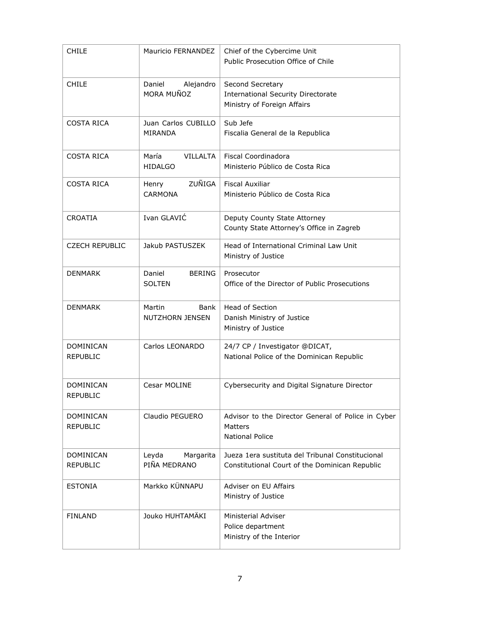| <b>CHILE</b>          | Mauricio FERNANDEZ       | Chief of the Cybercime Unit<br>Public Prosecution Office of Chile |
|-----------------------|--------------------------|-------------------------------------------------------------------|
| <b>CHILE</b>          | Alejandro<br>Daniel      | Second Secretary                                                  |
|                       | MORA MUÑOZ               | <b>International Security Directorate</b>                         |
|                       |                          | Ministry of Foreign Affairs                                       |
| <b>COSTA RICA</b>     | Juan Carlos CUBILLO      | Sub Jefe                                                          |
|                       | MIRANDA                  | Fiscalia General de la Republica                                  |
|                       |                          |                                                                   |
| <b>COSTA RICA</b>     | María<br><b>VILLALTA</b> | <b>Fiscal Coordinadora</b>                                        |
|                       | <b>HIDALGO</b>           | Ministerio Público de Costa Rica                                  |
| <b>COSTA RICA</b>     | ZUÑIGA<br>Henry          | <b>Fiscal Auxiliar</b>                                            |
|                       | <b>CARMONA</b>           | Ministerio Público de Costa Rica                                  |
|                       |                          |                                                                   |
| <b>CROATIA</b>        | Ivan GLAVIĆ              | Deputy County State Attorney                                      |
|                       |                          | County State Attorney's Office in Zagreb                          |
| <b>CZECH REPUBLIC</b> | Jakub PASTUSZEK          | Head of International Criminal Law Unit                           |
|                       |                          | Ministry of Justice                                               |
| <b>DENMARK</b>        | Daniel<br><b>BERING</b>  | Prosecutor                                                        |
|                       | <b>SOLTEN</b>            | Office of the Director of Public Prosecutions                     |
|                       |                          |                                                                   |
| <b>DENMARK</b>        | Martin<br>Bank           | <b>Head of Section</b>                                            |
|                       | <b>NUTZHORN JENSEN</b>   | Danish Ministry of Justice                                        |
|                       |                          | Ministry of Justice                                               |
| <b>DOMINICAN</b>      | Carlos LEONARDO          | 24/7 CP / Investigator @DICAT,                                    |
| <b>REPUBLIC</b>       |                          | National Police of the Dominican Republic                         |
|                       |                          |                                                                   |
| DOMINICAN             | Cesar MOLINE             | Cybersecurity and Digital Signature Director                      |
| <b>REPUBLIC</b>       |                          |                                                                   |
|                       |                          |                                                                   |
| DOMINICAN             | Claudio PEGUERO          | Advisor to the Director General of Police in Cyber                |
| <b>REPUBLIC</b>       |                          | Matters<br><b>National Police</b>                                 |
|                       |                          |                                                                   |
| DOMINICAN             | Leyda<br>Margarita       | Jueza 1era sustituta del Tribunal Constitucional                  |
| REPUBLIC              | PIÑA MEDRANO             | Constitutional Court of the Dominican Republic                    |
| <b>ESTONIA</b>        | Markko KÜNNAPU           | Adviser on EU Affairs                                             |
|                       |                          | Ministry of Justice                                               |
|                       |                          |                                                                   |
| <b>FINLAND</b>        | Jouko HUHTAMÄKI          | <b>Ministerial Adviser</b>                                        |
|                       |                          | Police department                                                 |
|                       |                          | Ministry of the Interior                                          |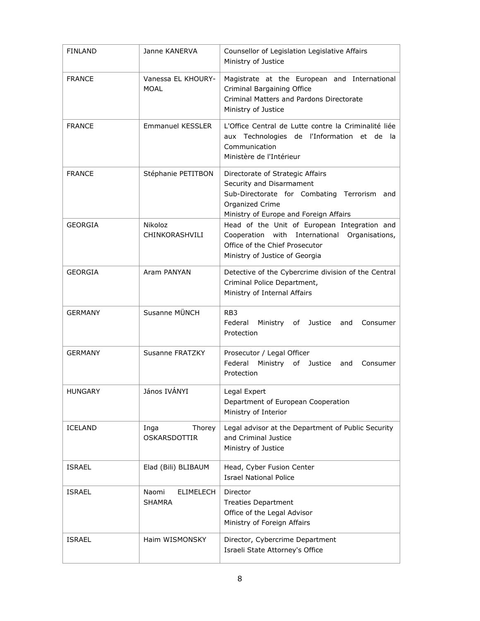| <b>FINLAND</b> | Janne KANERVA                       | Counsellor of Legislation Legislative Affairs<br>Ministry of Justice                                                                                                        |
|----------------|-------------------------------------|-----------------------------------------------------------------------------------------------------------------------------------------------------------------------------|
| <b>FRANCE</b>  | Vanessa EL KHOURY-<br>MOAL          | Magistrate at the European and International<br>Criminal Bargaining Office<br>Criminal Matters and Pardons Directorate<br>Ministry of Justice                               |
| <b>FRANCE</b>  | <b>Emmanuel KESSLER</b>             | L'Office Central de Lutte contre la Criminalité liée<br>aux Technologies de l'Information et de la<br>Communication<br>Ministère de l'Intérieur                             |
| <b>FRANCE</b>  | Stéphanie PETITBON                  | Directorate of Strategic Affairs<br>Security and Disarmament<br>Sub-Directorate for Combating Terrorism<br>and<br>Organized Crime<br>Ministry of Europe and Foreign Affairs |
| <b>GEORGIA</b> | Nikoloz<br>CHINKORASHVILI           | Head of the Unit of European Integration and<br>Cooperation with International Organisations,<br>Office of the Chief Prosecutor<br>Ministry of Justice of Georgia           |
| <b>GEORGIA</b> | Aram PANYAN                         | Detective of the Cybercrime division of the Central<br>Criminal Police Department,<br>Ministry of Internal Affairs                                                          |
| GERMANY        | Susanne MÜNCH                       | RB <sub>3</sub><br>Federal<br>Ministry of Justice<br>and<br>Consumer<br>Protection                                                                                          |
| <b>GERMANY</b> | Susanne FRATZKY                     | Prosecutor / Legal Officer<br>Federal<br>Ministry<br>of Justice<br>Consumer<br>and<br>Protection                                                                            |
| <b>HUNGARY</b> | János IVÁNYI                        | Legal Expert<br>Department of European Cooperation<br>Ministry of Interior                                                                                                  |
| ICELAND        | Inga<br>Thorey<br>OSKARSDOTTIR      | Legal advisor at the Department of Public Security<br>and Criminal Justice<br>Ministry of Justice                                                                           |
| <b>ISRAEL</b>  | Elad (Bili) BLIBAUM                 | Head, Cyber Fusion Center<br><b>Israel National Police</b>                                                                                                                  |
| <b>ISRAEL</b>  | Naomi<br>ELIMELECH<br><b>SHAMRA</b> | Director<br><b>Treaties Department</b><br>Office of the Legal Advisor<br>Ministry of Foreign Affairs                                                                        |
| <b>ISRAEL</b>  | Haim WISMONSKY                      | Director, Cybercrime Department<br>Israeli State Attorney's Office                                                                                                          |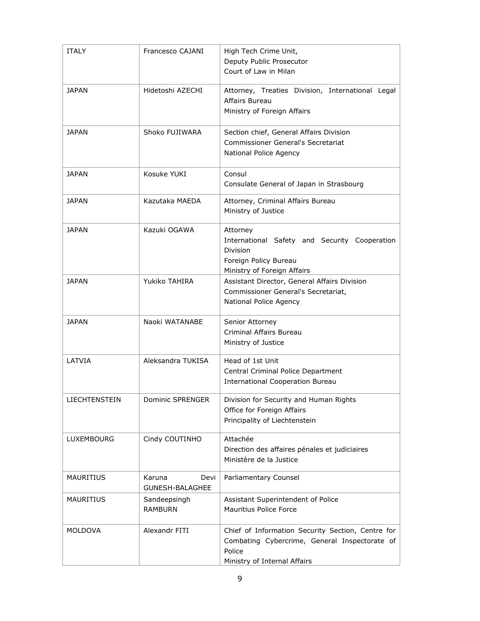| <b>ITALY</b>         | Francesco CAJANI                  | High Tech Crime Unit,<br>Deputy Public Prosecutor<br>Court of Law in Milan                                                                   |
|----------------------|-----------------------------------|----------------------------------------------------------------------------------------------------------------------------------------------|
| JAPAN                | Hidetoshi AZECHI                  | Attorney, Treaties Division, International Legal<br>Affairs Bureau<br>Ministry of Foreign Affairs                                            |
| <b>JAPAN</b>         | Shoko FUJIWARA                    | Section chief, General Affairs Division<br><b>Commissioner General's Secretariat</b><br>National Police Agency                               |
| <b>JAPAN</b>         | Kosuke YUKI                       | Consul<br>Consulate General of Japan in Strasbourg                                                                                           |
| <b>JAPAN</b>         | Kazutaka MAEDA                    | Attorney, Criminal Affairs Bureau<br>Ministry of Justice                                                                                     |
| JAPAN                | Kazuki OGAWA                      | Attorney<br>International Safety and Security Cooperation<br><b>Division</b><br>Foreign Policy Bureau<br>Ministry of Foreign Affairs         |
| <b>JAPAN</b>         | Yukiko TAHIRA                     | Assistant Director, General Affairs Division<br>Commissioner General's Secretariat,<br>National Police Agency                                |
| <b>JAPAN</b>         | Naoki WATANABE                    | Senior Attorney<br>Criminal Affairs Bureau<br>Ministry of Justice                                                                            |
| LATVIA               | Aleksandra TUKISA                 | Head of 1st Unit<br>Central Criminal Police Department<br><b>International Cooperation Bureau</b>                                            |
| <b>LIECHTENSTEIN</b> | <b>Dominic SPRENGER</b>           | Division for Security and Human Rights<br>Office for Foreign Affairs<br>Principality of Liechtenstein                                        |
| LUXEMBOURG           | Cindy COUTINHO                    | Attachée<br>Direction des affaires pénales et judiciaires<br>Ministère de la Justice                                                         |
| <b>MAURITIUS</b>     | Karuna<br>Devi<br>GUNESH-BALAGHEE | Parliamentary Counsel                                                                                                                        |
| <b>MAURITIUS</b>     | Sandeepsingh<br><b>RAMBURN</b>    | Assistant Superintendent of Police<br>Mauritius Police Force                                                                                 |
| <b>MOLDOVA</b>       | Alexandr FITI                     | Chief of Information Security Section, Centre for<br>Combating Cybercrime, General Inspectorate of<br>Police<br>Ministry of Internal Affairs |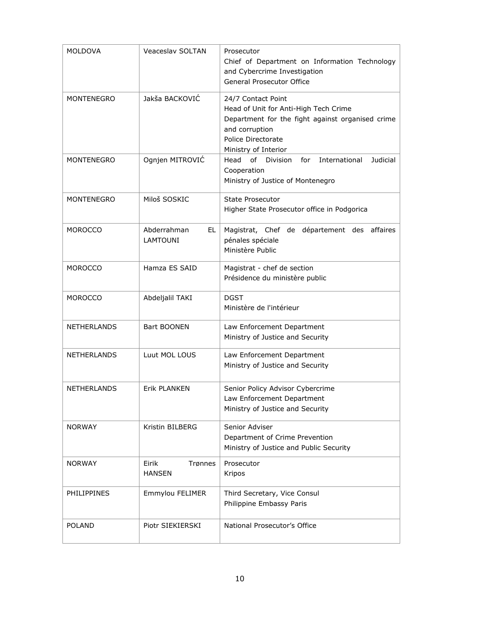| <b>MOLDOVA</b>     | Veaceslav SOLTAN                      | Prosecutor<br>Chief of Department on Information Technology<br>and Cybercrime Investigation<br>General Prosecutor Office                                                        |
|--------------------|---------------------------------------|---------------------------------------------------------------------------------------------------------------------------------------------------------------------------------|
| <b>MONTENEGRO</b>  | Jakša BACKOVIĆ                        | 24/7 Contact Point<br>Head of Unit for Anti-High Tech Crime<br>Department for the fight against organised crime<br>and corruption<br>Police Directorate<br>Ministry of Interior |
| <b>MONTENEGRO</b>  | Ognjen MITROVIĆ                       | of Division<br>International<br>Judicial<br>Head<br>for<br>Cooperation<br>Ministry of Justice of Montenegro                                                                     |
| <b>MONTENEGRO</b>  | Miloš SOSKIC                          | <b>State Prosecutor</b><br>Higher State Prosecutor office in Podgorica                                                                                                          |
| <b>MOROCCO</b>     | Abderrahman<br>EL.<br><b>LAMTOUNI</b> | Magistrat, Chef de département des affaires<br>pénales spéciale<br>Ministère Public                                                                                             |
| <b>MOROCCO</b>     | Hamza ES SAID                         | Magistrat - chef de section<br>Présidence du ministère public                                                                                                                   |
| <b>MOROCCO</b>     | Abdeljalil TAKI                       | <b>DGST</b><br>Ministère de l'intérieur                                                                                                                                         |
| <b>NETHERLANDS</b> | <b>Bart BOONEN</b>                    | Law Enforcement Department<br>Ministry of Justice and Security                                                                                                                  |
| <b>NETHERLANDS</b> | Luut MOL LOUS                         | Law Enforcement Department<br>Ministry of Justice and Security                                                                                                                  |
| <b>NETHERLANDS</b> | <b>Erik PLANKEN</b>                   | Senior Policy Advisor Cybercrime<br>Law Enforcement Department<br>Ministry of Justice and Security                                                                              |
| <b>NORWAY</b>      | Kristin BILBERG                       | Senior Adviser<br>Department of Crime Prevention<br>Ministry of Justice and Public Security                                                                                     |
| <b>NORWAY</b>      | Eirik<br>Trønnes<br><b>HANSEN</b>     | Prosecutor<br>Kripos                                                                                                                                                            |
| <b>PHILIPPINES</b> | Emmylou FELIMER                       | Third Secretary, Vice Consul<br>Philippine Embassy Paris                                                                                                                        |
| <b>POLAND</b>      | Piotr SIEKIERSKI                      | National Prosecutor's Office                                                                                                                                                    |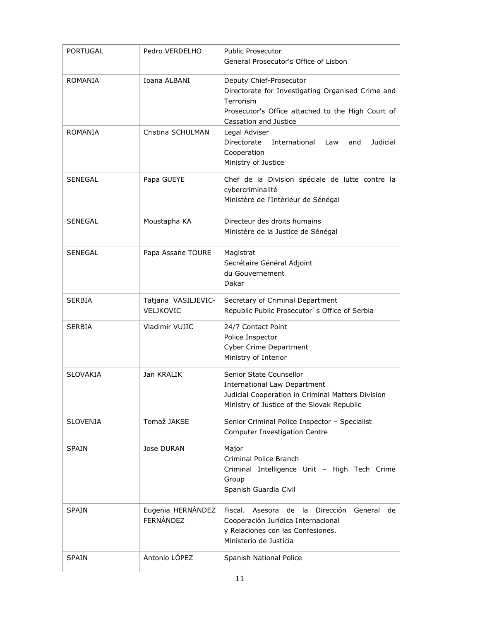| <b>PORTUGAL</b> | Pedro VERDELHO                        | <b>Public Prosecutor</b><br>General Prosecutor's Office of Lisbon                                                                                                       |
|-----------------|---------------------------------------|-------------------------------------------------------------------------------------------------------------------------------------------------------------------------|
| <b>ROMANIA</b>  | Ioana ALBANI                          | Deputy Chief-Prosecutor<br>Directorate for Investigating Organised Crime and<br>Terrorism<br>Prosecutor's Office attached to the High Court of<br>Cassation and Justice |
| ROMANIA         | Cristina SCHULMAN                     | Legal Adviser<br>Directorate<br>International<br>Judicial<br>Law<br>and<br>Cooperation<br>Ministry of Justice                                                           |
| <b>SENEGAL</b>  | Papa GUEYE                            | Chef de la Division spéciale de lutte contre la<br>cybercriminalité<br>Ministère de l'Intérieur de Sénégal                                                              |
| <b>SENEGAL</b>  | Moustapha KA                          | Directeur des droits humains<br>Ministère de la Justice de Sénégal                                                                                                      |
| <b>SENEGAL</b>  | Papa Assane TOURE                     | Magistrat<br>Secrétaire Général Adjoint<br>du Gouvernement<br>Dakar                                                                                                     |
| <b>SERBIA</b>   | Tatjana VASILJEVIC-<br>VELJKOVIC      | Secretary of Criminal Department<br>Republic Public Prosecutor's Office of Serbia                                                                                       |
| <b>SERBIA</b>   | Vladimir VUJIC                        | 24/7 Contact Point<br>Police Inspector<br><b>Cyber Crime Department</b><br>Ministry of Interior                                                                         |
| <b>SLOVAKIA</b> | Jan KRALIK                            | Senior State Counsellor<br><b>International Law Department</b><br>Judicial Cooperation in Criminal Matters Division<br>Ministry of Justice of the Slovak Republic       |
| <b>SLOVENIA</b> | Tomaž JAKSE                           | Senior Criminal Police Inspector - Specialist<br><b>Computer Investigation Centre</b>                                                                                   |
| <b>SPAIN</b>    | Jose DURAN                            | Major<br>Criminal Police Branch<br>Criminal Intelligence Unit - High Tech Crime<br>Group<br>Spanish Guardia Civil                                                       |
| <b>SPAIN</b>    | Eugenia HERNÁNDEZ<br><b>FERNÁNDEZ</b> | Fiscal.<br>Dirección<br>Asesora<br>de<br>-la<br>General<br>de<br>Cooperación Jurídica Internacional<br>y Relaciones con las Confesiones.<br>Ministerio de Justicia      |
| <b>SPAIN</b>    | Antonio LÓPEZ                         | Spanish National Police                                                                                                                                                 |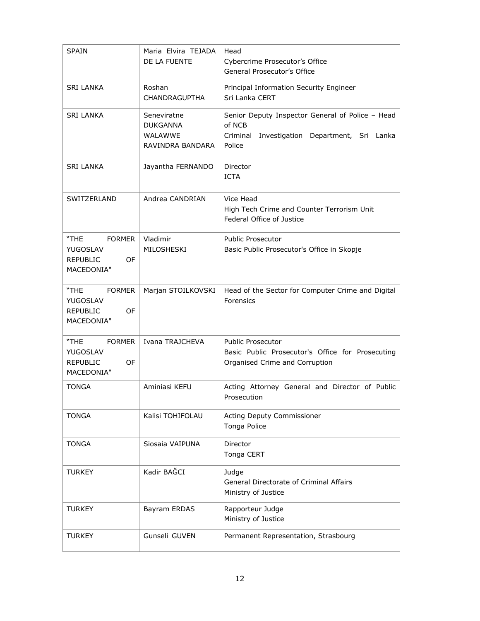| <b>SPAIN</b>                                                                    | Maria Elvira TEJADA<br>DE LA FUENTE                                  | Head<br>Cybercrime Prosecutor's Office<br>General Prosecutor's Office                                                   |
|---------------------------------------------------------------------------------|----------------------------------------------------------------------|-------------------------------------------------------------------------------------------------------------------------|
| SRI LANKA                                                                       | Roshan<br>CHANDRAGUPTHA                                              | Principal Information Security Engineer<br>Sri Lanka CERT                                                               |
| <b>SRI LANKA</b>                                                                | Seneviratne<br><b>DUKGANNA</b><br><b>WALAWWE</b><br>RAVINDRA BANDARA | Senior Deputy Inspector General of Police - Head<br>of NCB<br>Criminal<br>Investigation Department, Sri Lanka<br>Police |
| <b>SRI LANKA</b>                                                                | Jayantha FERNANDO                                                    | Director<br><b>ICTA</b>                                                                                                 |
| SWITZERLAND                                                                     | Andrea CANDRIAN                                                      | Vice Head<br>High Tech Crime and Counter Terrorism Unit<br>Federal Office of Justice                                    |
| <b>FORMER</b><br>"THE<br>YUGOSLAV<br><b>REPUBLIC</b><br><b>OF</b><br>MACEDONIA" | Vladimir<br>MILOSHESKI                                               | <b>Public Prosecutor</b><br>Basic Public Prosecutor's Office in Skopje                                                  |
| "THE<br><b>FORMER</b><br>YUGOSLAV<br><b>REPUBLIC</b><br>OF<br>MACEDONIA"        | Marjan STOILKOVSKI                                                   | Head of the Sector for Computer Crime and Digital<br>Forensics                                                          |
| "THE<br><b>FORMER</b><br>YUGOSLAV<br><b>REPUBLIC</b><br>OF<br>MACEDONIA"        | Ivana TRAJCHEVA                                                      | <b>Public Prosecutor</b><br>Basic Public Prosecutor's Office for Prosecuting<br>Organised Crime and Corruption          |
| TONGA                                                                           | Aminiasi KEFU                                                        | Acting Attorney General and Director of Public<br>Prosecution                                                           |
| <b>TONGA</b>                                                                    | Kalisi TOHIFOLAU                                                     | Acting Deputy Commissioner<br>Tonga Police                                                                              |
| <b>TONGA</b>                                                                    | Siosaia VAIPUNA                                                      | Director<br>Tonga CERT                                                                                                  |
| <b>TURKEY</b>                                                                   | Kadir BAĞCI                                                          | Judge<br><b>General Directorate of Criminal Affairs</b><br>Ministry of Justice                                          |
| <b>TURKEY</b>                                                                   | Bayram ERDAS                                                         | Rapporteur Judge<br>Ministry of Justice                                                                                 |
| <b>TURKEY</b>                                                                   | Gunseli GUVEN                                                        | Permanent Representation, Strasbourg                                                                                    |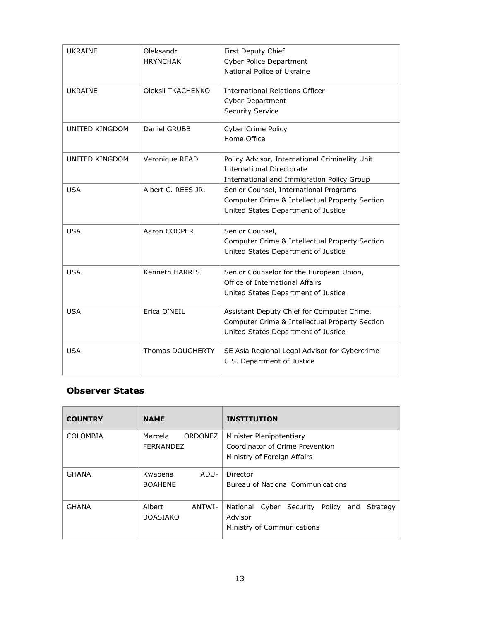| <b>UKRAINE</b>        | Oleksandr<br><b>HRYNCHAK</b> | First Deputy Chief<br><b>Cyber Police Department</b><br>National Police of Ukraine                                                  |
|-----------------------|------------------------------|-------------------------------------------------------------------------------------------------------------------------------------|
| <b>UKRAINE</b>        | Oleksii TKACHENKO            | <b>International Relations Officer</b><br><b>Cyber Department</b><br><b>Security Service</b>                                        |
| <b>UNITED KINGDOM</b> | Daniel GRUBB                 | <b>Cyber Crime Policy</b><br>Home Office                                                                                            |
| <b>UNITED KINGDOM</b> | Veronique READ               | Policy Advisor, International Criminality Unit<br><b>International Directorate</b><br>International and Immigration Policy Group    |
| <b>USA</b>            | Albert C. REES JR.           | Senior Counsel, International Programs<br>Computer Crime & Intellectual Property Section<br>United States Department of Justice     |
| <b>USA</b>            | Aaron COOPER                 | Senior Counsel,<br>Computer Crime & Intellectual Property Section<br>United States Department of Justice                            |
| <b>USA</b>            | Kenneth HARRIS               | Senior Counselor for the European Union,<br>Office of International Affairs<br>United States Department of Justice                  |
| <b>USA</b>            | Erica O'NEIL                 | Assistant Deputy Chief for Computer Crime,<br>Computer Crime & Intellectual Property Section<br>United States Department of Justice |
| <b>USA</b>            | <b>Thomas DOUGHERTY</b>      | SE Asia Regional Legal Advisor for Cybercrime<br>U.S. Department of Justice                                                         |

#### **Observer States**

| <b>COUNTRY</b> | <b>NAME</b>                         | <b>INSTITUTION</b>                                                                         |
|----------------|-------------------------------------|--------------------------------------------------------------------------------------------|
| COLOMBIA       | Marcela<br>ORDONEZ<br>FERNANDEZ     | Minister Plenipotentiary<br>Coordinator of Crime Prevention<br>Ministry of Foreign Affairs |
| <b>GHANA</b>   | Kwabena<br>ADU-<br><b>BOAHENE</b>   | Director<br>Bureau of National Communications                                              |
| <b>GHANA</b>   | Albert<br>ANTWI-<br><b>BOASIAKO</b> | National Cyber Security Policy and<br>Strategy<br>Advisor<br>Ministry of Communications    |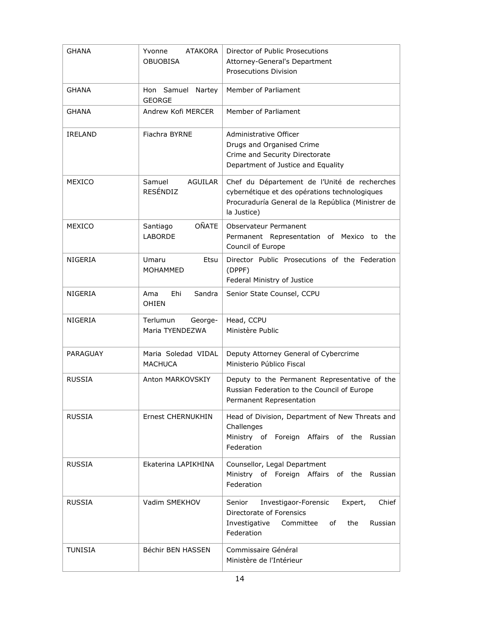| <b>GHANA</b>    | <b>ATAKORA</b><br>Yvonne                    | Director of Public Prosecutions                                                                                                                                    |
|-----------------|---------------------------------------------|--------------------------------------------------------------------------------------------------------------------------------------------------------------------|
|                 | <b>OBUOBISA</b>                             | Attorney-General's Department                                                                                                                                      |
|                 |                                             | <b>Prosecutions Division</b>                                                                                                                                       |
| <b>GHANA</b>    | Hon Samuel Nartey<br><b>GEORGE</b>          | Member of Parliament                                                                                                                                               |
| <b>GHANA</b>    | Andrew Kofi MERCER                          | Member of Parliament                                                                                                                                               |
| <b>IRELAND</b>  | Fiachra BYRNE                               | Administrative Officer<br>Drugs and Organised Crime<br>Crime and Security Directorate<br>Department of Justice and Equality                                        |
| MEXICO          | Samuel<br><b>AGUILAR</b><br><b>RESÉNDIZ</b> | Chef du Département de l'Unité de recherches<br>cybernétique et des opérations technologiques<br>Procuraduría General de la República (Ministrer de<br>la Justice) |
| MEXICO          | <b>OÑATE</b><br>Santiago<br><b>LABORDE</b>  | Observateur Permanent<br>Permanent Representation of Mexico to the<br>Council of Europe                                                                            |
| <b>NIGERIA</b>  | Umaru<br>Etsu<br><b>MOHAMMED</b>            | Director Public Prosecutions of the Federation<br>(DPPF)<br>Federal Ministry of Justice                                                                            |
| NIGERIA         | Ehi<br>Sandra<br>Ama<br><b>OHIEN</b>        | Senior State Counsel, CCPU                                                                                                                                         |
| NIGERIA         | Terlumun<br>George-<br>Maria TYENDEZWA      | Head, CCPU<br>Ministère Public                                                                                                                                     |
| <b>PARAGUAY</b> | Maria Soledad VIDAL<br><b>MACHUCA</b>       | Deputy Attorney General of Cybercrime<br>Ministerio Público Fiscal                                                                                                 |
| <b>RUSSIA</b>   | Anton MARKOVSKIY                            | Deputy to the Permanent Representative of the<br>Russian Federation to the Council of Europe<br>Permanent Representation                                           |
| <b>RUSSIA</b>   | Ernest CHERNUKHIN                           | Head of Division, Department of New Threats and<br>Challenges<br>Ministry of Foreign Affairs of the<br>Russian<br>Federation                                       |
| <b>RUSSIA</b>   | Ekaterina LAPIKHINA                         | Counsellor, Legal Department<br>Ministry of Foreign Affairs of the Russian<br>Federation                                                                           |
| <b>RUSSIA</b>   | Vadim SMEKHOV                               | Chief<br>Investigaor-Forensic<br>Expert,<br>Senior<br>Directorate of Forensics<br>Investigative<br>Committee<br>the<br>оf<br>Russian<br>Federation                 |
| <b>TUNISIA</b>  | Béchir BEN HASSEN                           | Commissaire Général<br>Ministère de l'Intérieur                                                                                                                    |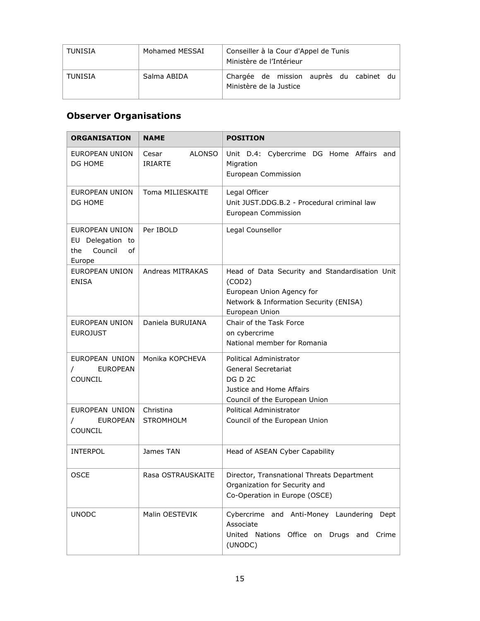| TUNISIA | Mohamed MESSAI | Conseiller à la Cour d'Appel de Tunis<br>Ministère de l'Intérieur  |
|---------|----------------|--------------------------------------------------------------------|
| TUNISIA | Salma ABIDA    | Chargée de mission auprès du cabinet du<br>Ministère de la Justice |

# **Observer Organisations**

| <b>ORGANISATION</b>                                                  | <b>NAME</b>                              | <b>POSITION</b>                                                                                                                                   |
|----------------------------------------------------------------------|------------------------------------------|---------------------------------------------------------------------------------------------------------------------------------------------------|
| EUROPEAN UNION<br>DG HOME                                            | Cesar<br><b>ALONSO</b><br><b>IRIARTE</b> | Unit D.4: Cybercrime DG Home Affairs and<br>Migration<br>European Commission                                                                      |
| EUROPEAN UNION<br>DG HOME                                            | Toma MILIESKAITE                         | Legal Officer<br>Unit JUST.DDG.B.2 - Procedural criminal law<br>European Commission                                                               |
| EUROPEAN UNION<br>EU Delegation to<br>Council<br>of<br>the<br>Europe | Per IBOLD                                | Legal Counsellor                                                                                                                                  |
| <b>EUROPEAN UNION</b><br><b>ENISA</b>                                | <b>Andreas MITRAKAS</b>                  | Head of Data Security and Standardisation Unit<br>(COD2)<br>European Union Agency for<br>Network & Information Security (ENISA)<br>European Union |
| EUROPEAN UNION<br><b>EUROJUST</b>                                    | Daniela BURUIANA                         | Chair of the Task Force<br>on cybercrime<br>National member for Romania                                                                           |
| EUROPEAN UNION<br><b>EUROPEAN</b><br>COUNCIL                         | Monika KOPCHEVA                          | Political Administrator<br>General Secretariat<br>DG D 2C<br>Justice and Home Affairs<br>Council of the European Union                            |
| EUROPEAN UNION<br><b>EUROPEAN</b><br><b>COUNCIL</b>                  | Christina<br><b>STROMHOLM</b>            | Political Administrator<br>Council of the European Union                                                                                          |
| <b>INTERPOL</b>                                                      | James TAN                                | Head of ASEAN Cyber Capability                                                                                                                    |
| OSCE                                                                 | Rasa OSTRAUSKAITE                        | Director, Transnational Threats Department<br>Organization for Security and<br>Co-Operation in Europe (OSCE)                                      |
| <b>UNODC</b>                                                         | Malin OESTEVIK                           | Cybercrime and Anti-Money Laundering Dept<br>Associate<br>United Nations Office on Drugs and Crime<br>(UNODC)                                     |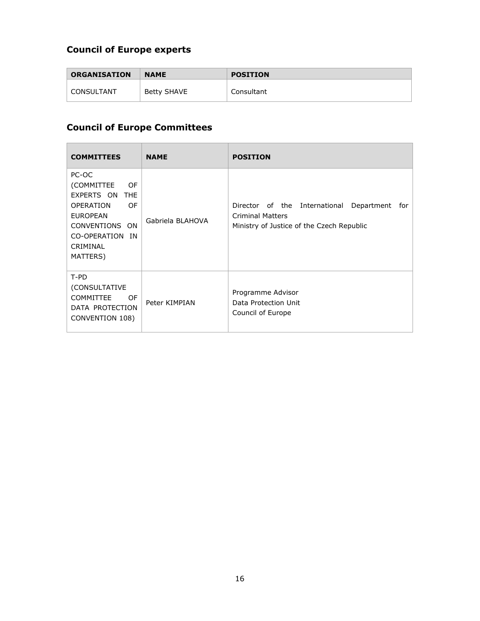# **Council of Europe experts**

| <b>ORGANISATION</b> | <b>NAME</b> | <b>POSITION</b> |
|---------------------|-------------|-----------------|
| CONSULTANT          | Betty SHAVE | Consultant      |

# **Council of Europe Committees**

| <b>COMMITTEES</b>                                                                                                                                                      | <b>NAME</b>      | <b>POSITION</b>                                                                                                            |
|------------------------------------------------------------------------------------------------------------------------------------------------------------------------|------------------|----------------------------------------------------------------------------------------------------------------------------|
| PC-OC<br>(COMMITTEE<br>OF<br>EXPERTS ON<br><b>THF</b><br><b>OPERATION</b><br>OF<br><b>EUROPEAN</b><br>CONVENTIONS<br>ON<br>CO-OPERATION<br>IN.<br>CRIMINAL<br>MATTERS) | Gabriela BLAHOVA | Director of the International<br>Department<br>for<br><b>Criminal Matters</b><br>Ministry of Justice of the Czech Republic |
| T-PD<br>(CONSULTATIVE<br><b>COMMITTEE</b><br>OF<br>DATA PROTECTION<br>CONVENTION 108)                                                                                  | Peter KIMPIAN    | Programme Advisor<br>Data Protection Unit<br>Council of Europe                                                             |